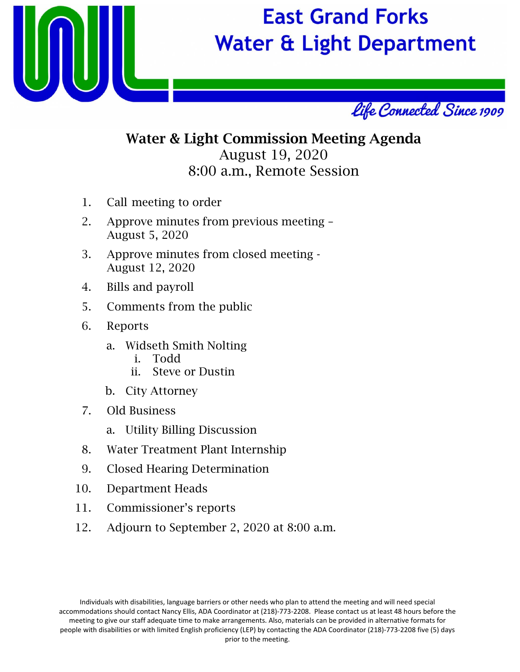

# **East Grand Forks Water & Light Department**



## Water & Light Commission Meeting Agenda August 19, 2020 8:00 a.m., Remote Session

- 1. Call meeting to order
- 2. Approve minutes from previous meeting August 5, 2020
- 3. Approve minutes from closed meeting August 12, 2020
- 4. Bills and payroll
- 5. Comments from the public
- 6. Reports
	- a. Widseth Smith Nolting
		- i. Todd
		- ii. Steve or Dustin
	- b. City Attorney
- 7. Old Business
	- a. Utility Billing Discussion
- 8. Water Treatment Plant Internship
- 9. Closed Hearing Determination
- 10. Department Heads
- 11. Commissioner's reports
- 12. Adjourn to September 2, 2020 at 8:00 a.m.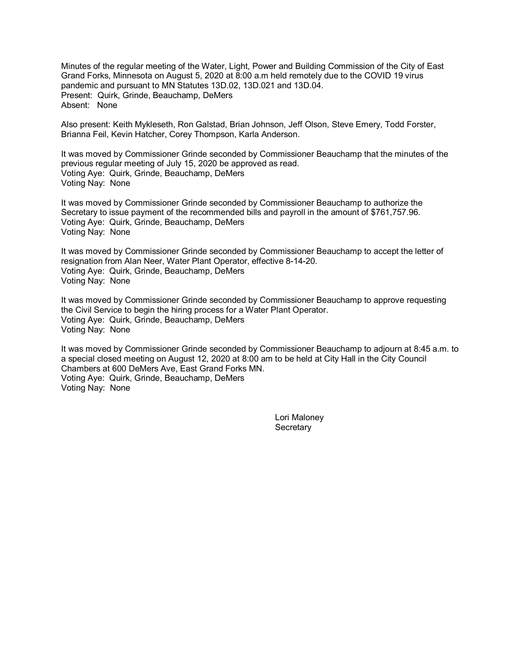Minutes of the regular meeting of the Water, Light, Power and Building Commission of the City of East Grand Forks, Minnesota on August 5, 2020 at 8:00 a.m held remotely due to the COVID 19 virus pandemic and pursuant to MN Statutes 13D.02, 13D.021 and 13D.04. Present: Quirk, Grinde, Beauchamp, DeMers Absent: None

Also present: Keith Mykleseth, Ron Galstad, Brian Johnson, Jeff Olson, Steve Emery, Todd Forster, Brianna Feil, Kevin Hatcher, Corey Thompson, Karla Anderson.

It was moved by Commissioner Grinde seconded by Commissioner Beauchamp that the minutes of the previous regular meeting of July 15, 2020 be approved as read. Voting Aye: Quirk, Grinde, Beauchamp, DeMers Voting Nay: None

It was moved by Commissioner Grinde seconded by Commissioner Beauchamp to authorize the Secretary to issue payment of the recommended bills and payroll in the amount of \$761,757.96. Voting Aye: Quirk, Grinde, Beauchamp, DeMers Voting Nay: None

It was moved by Commissioner Grinde seconded by Commissioner Beauchamp to accept the letter of resignation from Alan Neer, Water Plant Operator, effective 8-14-20. Voting Aye: Quirk, Grinde, Beauchamp, DeMers Voting Nay: None

It was moved by Commissioner Grinde seconded by Commissioner Beauchamp to approve requesting the Civil Service to begin the hiring process for a Water Plant Operator. Voting Aye: Quirk, Grinde, Beauchamp, DeMers Voting Nay: None

It was moved by Commissioner Grinde seconded by Commissioner Beauchamp to adjourn at 8:45 a.m. to a special closed meeting on August 12, 2020 at 8:00 am to be held at City Hall in the City Council Chambers at 600 DeMers Ave, East Grand Forks MN. Voting Aye: Quirk, Grinde, Beauchamp, DeMers Voting Nay: None

> Lori Maloney **Secretary**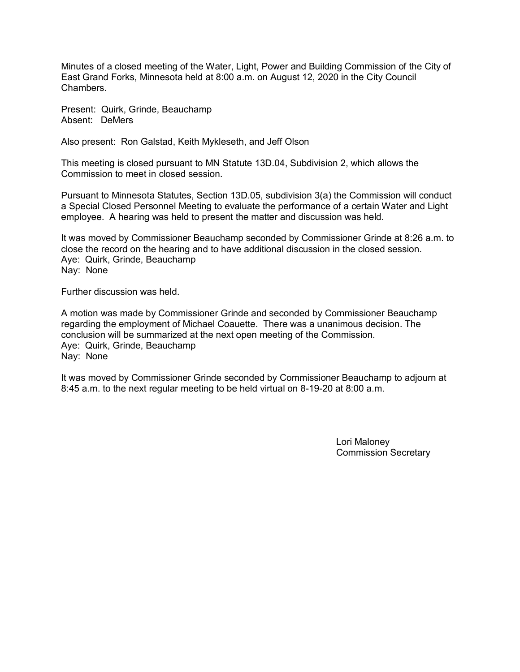Minutes of a closed meeting of the Water, Light, Power and Building Commission of the City of East Grand Forks, Minnesota held at 8:00 a.m. on August 12, 2020 in the City Council **Chambers** 

Present: Quirk, Grinde, Beauchamp Absent: DeMers

Also present: Ron Galstad, Keith Mykleseth, and Jeff Olson

This meeting is closed pursuant to MN Statute 13D.04, Subdivision 2, which allows the Commission to meet in closed session.

Pursuant to Minnesota Statutes, Section 13D.05, subdivision 3(a) the Commission will conduct a Special Closed Personnel Meeting to evaluate the performance of a certain Water and Light employee. A hearing was held to present the matter and discussion was held.

It was moved by Commissioner Beauchamp seconded by Commissioner Grinde at 8:26 a.m. to close the record on the hearing and to have additional discussion in the closed session. Aye: Quirk, Grinde, Beauchamp Nay: None

Further discussion was held.

A motion was made by Commissioner Grinde and seconded by Commissioner Beauchamp regarding the employment of Michael Coauette. There was a unanimous decision. The conclusion will be summarized at the next open meeting of the Commission. Aye: Quirk, Grinde, Beauchamp Nay: None

It was moved by Commissioner Grinde seconded by Commissioner Beauchamp to adjourn at 8:45 a.m. to the next regular meeting to be held virtual on 8-19-20 at 8:00 a.m.

> Lori Maloney Commission Secretary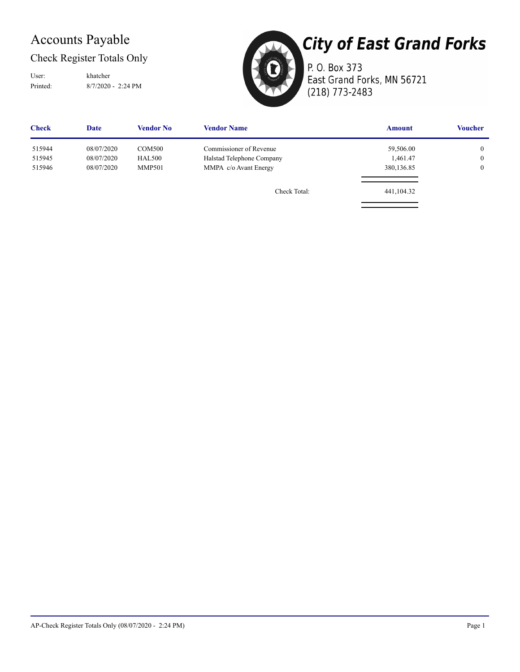## Accounts Payable

Check Register Totals Only

User: khatcher

Printed: 8/7/2020 - 2:24 PM



**City of East Grand Forks** P. O. Box 373 East Grand Forks, MN 56721

(218) 773-2483

| <b>Check</b> | Date       | Vendor No     | <b>Vendor Name</b>        | <b>Amount</b> | <b>Voucher</b> |
|--------------|------------|---------------|---------------------------|---------------|----------------|
| 515944       | 08/07/2020 | COM500        | Commissioner of Revenue   | 59,506.00     | $\overline{0}$ |
| 515945       | 08/07/2020 | <b>HAL500</b> | Halstad Telephone Company | 1,461.47      | $\overline{0}$ |
| 515946       | 08/07/2020 | <b>MMP501</b> | MMPA c/o Avant Energy     | 380,136.85    | $\overline{0}$ |
|              |            |               | Check Total:              | 441,104.32    |                |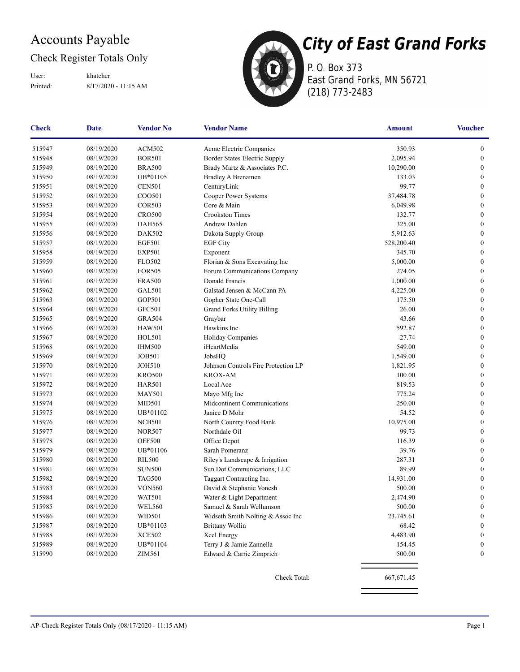## Accounts Payable

### Check Register Totals Only

Printed: 8/17/2020 - 11:15 AM User: khatcher



P. O. Box 373 East Grand Forks, MN 56721 (218) 773-2483

| Check  | <b>Date</b> | <b>Vendor No</b> | <b>Vendor Name</b>                  | <b>Amount</b> | <b>Voucher</b>   |
|--------|-------------|------------------|-------------------------------------|---------------|------------------|
| 515947 | 08/19/2020  | <b>ACM502</b>    | Acme Electric Companies             | 350.93        | $\boldsymbol{0}$ |
| 515948 | 08/19/2020  | <b>BOR501</b>    | Border States Electric Supply       | 2,095.94      | $\boldsymbol{0}$ |
| 515949 | 08/19/2020  | <b>BRA500</b>    | Brady Martz & Associates P.C.       | 10,290.00     | $\boldsymbol{0}$ |
| 515950 | 08/19/2020  | UB*01105         | <b>Bradley A Brenamen</b>           | 133.03        | $\boldsymbol{0}$ |
| 515951 | 08/19/2020  | <b>CEN501</b>    | CenturyLink                         | 99.77         | $\boldsymbol{0}$ |
| 515952 | 08/19/2020  | COO501           | Cooper Power Systems                | 37,484.78     | $\boldsymbol{0}$ |
| 515953 | 08/19/2020  | <b>COR503</b>    | Core & Main                         | 6,049.98      | $\boldsymbol{0}$ |
| 515954 | 08/19/2020  | <b>CRO500</b>    | <b>Crookston Times</b>              | 132.77        | $\boldsymbol{0}$ |
| 515955 | 08/19/2020  | <b>DAH565</b>    | Andrew Dahlen                       | 325.00        | $\boldsymbol{0}$ |
| 515956 | 08/19/2020  | DAK502           | Dakota Supply Group                 | 5,912.63      | $\boldsymbol{0}$ |
| 515957 | 08/19/2020  | <b>EGF501</b>    | <b>EGF City</b>                     | 528,200.40    | $\boldsymbol{0}$ |
| 515958 | 08/19/2020  | <b>EXP501</b>    | Exponent                            | 345.70        | $\mathbf{0}$     |
| 515959 | 08/19/2020  | <b>FLO502</b>    | Florian & Sons Excavating Inc       | 5,000.00      | $\boldsymbol{0}$ |
| 515960 | 08/19/2020  | <b>FOR505</b>    | Forum Communications Company        | 274.05        | $\boldsymbol{0}$ |
| 515961 | 08/19/2020  | <b>FRA500</b>    | Donald Francis                      | 1,000.00      | $\boldsymbol{0}$ |
| 515962 | 08/19/2020  | GAL501           | Galstad Jensen & McCann PA          | 4,225.00      | $\boldsymbol{0}$ |
| 515963 | 08/19/2020  | GOP501           | Gopher State One-Call               | 175.50        | $\boldsymbol{0}$ |
| 515964 | 08/19/2020  | GFC501           | <b>Grand Forks Utility Billing</b>  | 26.00         | $\boldsymbol{0}$ |
| 515965 | 08/19/2020  | <b>GRA504</b>    | Graybar                             | 43.66         | $\boldsymbol{0}$ |
| 515966 | 08/19/2020  | <b>HAW501</b>    | Hawkins Inc                         | 592.87        | $\boldsymbol{0}$ |
| 515967 | 08/19/2020  | <b>HOL501</b>    | Holiday Companies                   | 27.74         | $\boldsymbol{0}$ |
| 515968 | 08/19/2020  | <b>IHM500</b>    | iHeartMedia                         | 549.00        | 0                |
| 515969 | 08/19/2020  | <b>JOB501</b>    | JobsHQ                              | 1,549.00      | $\boldsymbol{0}$ |
| 515970 | 08/19/2020  | <b>JOH510</b>    | Johnson Controls Fire Protection LP | 1,821.95      | $\boldsymbol{0}$ |
| 515971 | 08/19/2020  | <b>KRO500</b>    | <b>KROX-AM</b>                      | 100.00        | $\mathbf{0}$     |
| 515972 | 08/19/2020  | <b>HAR501</b>    | Local Ace                           | 819.53        | $\boldsymbol{0}$ |
| 515973 | 08/19/2020  | <b>MAY501</b>    | Mayo Mfg Inc                        | 775.24        | $\boldsymbol{0}$ |
| 515974 | 08/19/2020  | <b>MID501</b>    | Midcontinent Communications         | 250.00        | $\boldsymbol{0}$ |
| 515975 | 08/19/2020  | UB*01102         | Janice D Mohr                       | 54.52         | $\boldsymbol{0}$ |
| 515976 | 08/19/2020  | <b>NCB501</b>    | North Country Food Bank             | 10,975.00     | $\mathbf{0}$     |
| 515977 | 08/19/2020  | <b>NOR507</b>    | Northdale Oil                       | 99.73         | $\boldsymbol{0}$ |
| 515978 | 08/19/2020  | <b>OFF500</b>    | Office Depot                        | 116.39        | $\mathbf{0}$     |
| 515979 | 08/19/2020  | UB*01106         | Sarah Pomeranz                      | 39.76         | $\boldsymbol{0}$ |
| 515980 | 08/19/2020  | <b>RIL500</b>    | Riley's Landscape & Irrigation      | 287.31        | $\boldsymbol{0}$ |
| 515981 | 08/19/2020  | <b>SUN500</b>    | Sun Dot Communications, LLC         | 89.99         | $\boldsymbol{0}$ |
| 515982 | 08/19/2020  | <b>TAG500</b>    | Taggart Contracting Inc.            | 14,931.00     | $\boldsymbol{0}$ |
| 515983 | 08/19/2020  | <b>VON560</b>    | David & Stephanie Vonesh            | 500.00        | $\boldsymbol{0}$ |
| 515984 | 08/19/2020  | <b>WAT501</b>    | Water & Light Department            | 2,474.90      | $\boldsymbol{0}$ |
| 515985 | 08/19/2020  | <b>WEL560</b>    | Samuel & Sarah Wellumson            | 500.00        | $\boldsymbol{0}$ |
| 515986 | 08/19/2020  | WID501           | Widseth Smith Nolting & Assoc Inc   | 23,745.61     | $\boldsymbol{0}$ |
| 515987 | 08/19/2020  | UB*01103         | <b>Brittany Wollin</b>              | 68.42         | $\bf{0}$         |
| 515988 | 08/19/2020  | <b>XCE502</b>    | <b>Xcel Energy</b>                  | 4,483.90      | $\bf{0}$         |
| 515989 | 08/19/2020  | UB*01104         | Terry J & Jamie Zannella            | 154.45        | 0                |
| 515990 | 08/19/2020  | ZIM561           | Edward & Carrie Zimprich            | 500.00        | 0                |
|        |             |                  | Check Total:                        | 667,671.45    |                  |
|        |             |                  |                                     |               |                  |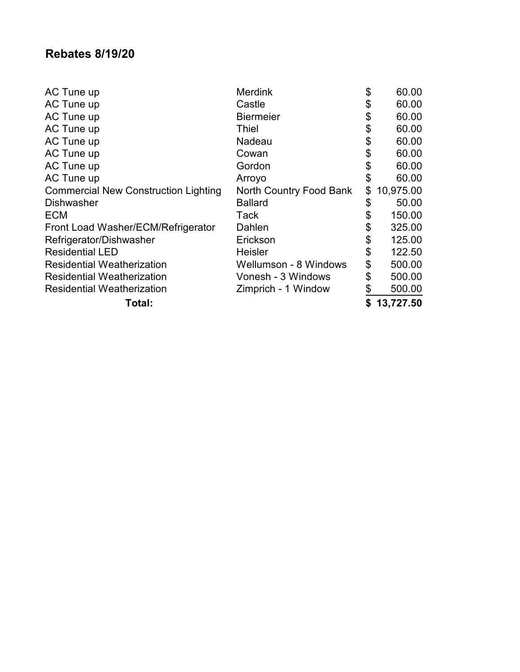### **Rebates 8/19/20**

| AC Tune up                                  | <b>Merdink</b>               | \$<br>60.00     |
|---------------------------------------------|------------------------------|-----------------|
| AC Tune up                                  | Castle                       | \$<br>60.00     |
| AC Tune up                                  | <b>Biermeier</b>             | \$<br>60.00     |
| AC Tune up                                  | <b>Thiel</b>                 | \$<br>60.00     |
| AC Tune up                                  | Nadeau                       | \$<br>60.00     |
| AC Tune up                                  | Cowan                        | \$<br>60.00     |
| AC Tune up                                  | Gordon                       | \$<br>60.00     |
| AC Tune up                                  | Arroyo                       | \$<br>60.00     |
| <b>Commercial New Construction Lighting</b> | North Country Food Bank      | \$<br>10,975.00 |
| <b>Dishwasher</b>                           | <b>Ballard</b>               | \$<br>50.00     |
| <b>ECM</b>                                  | Tack                         | \$<br>150.00    |
| Front Load Washer/ECM/Refrigerator          | Dahlen                       | \$<br>325.00    |
| Refrigerator/Dishwasher                     | Erickson                     | \$<br>125.00    |
| <b>Residential LED</b>                      | <b>Heisler</b>               | \$<br>122.50    |
| <b>Residential Weatherization</b>           | <b>Wellumson - 8 Windows</b> | \$<br>500.00    |
| <b>Residential Weatherization</b>           | Vonesh - 3 Windows           | \$<br>500.00    |
| <b>Residential Weatherization</b>           | Zimprich - 1 Window          | \$<br>500.00    |
| Total:                                      |                              | 13,727.50       |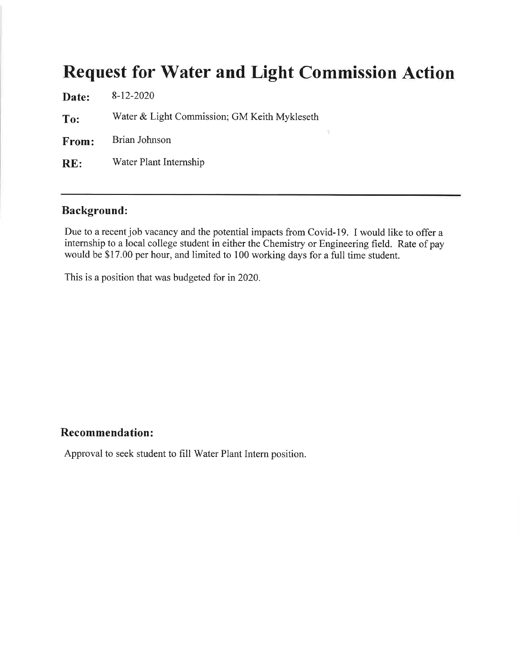## **Request for Water and Light Commission Action**

ä.

| Date:        | $8-12-2020$                                  |
|--------------|----------------------------------------------|
| To:          | Water & Light Commission; GM Keith Mykleseth |
| <b>From:</b> | Brian Johnson                                |
| RE:          | Water Plant Internship                       |
|              |                                              |

### **Background:**

Due to a recent job vacancy and the potential impacts from Covid-19. I would like to offer a internship to a local college student in either the Chemistry or Engineering field. Rate of pay would be \$17.00 per hour, and limited to 100 working days for a full time student.

This is a position that was budgeted for in 2020.

#### **Recommendation:**

Approval to seek student to fill Water Plant Intern position.